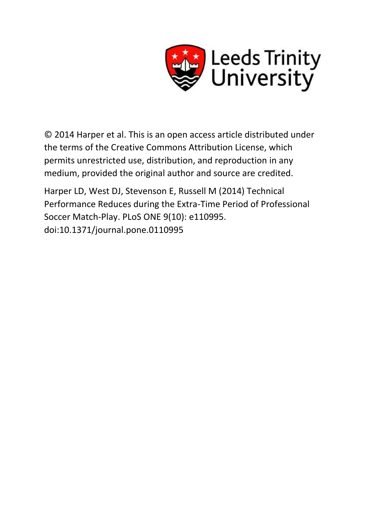

© 2014 Harper et al. This is an open access article distributed under the terms of the Creative Commons Attribution License, which permits unrestricted use, distribution, and reproduction in any medium, provided the original author and source are credited.

Harper LD, West DJ, Stevenson E, Russell M (2014) Technical Performance Reduces during the Extra-Time Period of Professional Soccer Match-Play. PLoS ONE 9(10): e110995. doi:10.1371/journal.pone.0110995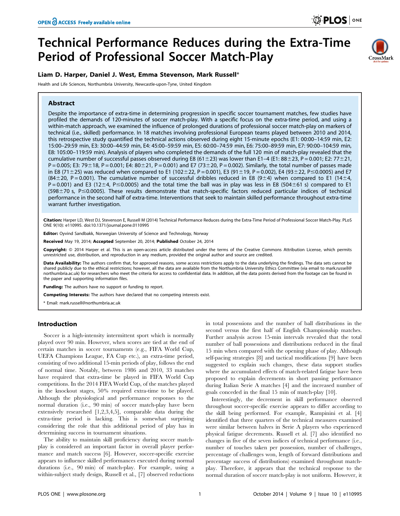CrossMark

# Technical Performance Reduces during the Extra-Time Period of Professional Soccer Match-Play

## Liam D. Harper, Daniel J. West, Emma Stevenson, Mark Russell\*

Health and Life Sciences, Northumbria University, Newcastle-upon-Tyne, United Kingdom

## Abstract

Despite the importance of extra-time in determining progression in specific soccer tournament matches, few studies have profiled the demands of 120-minutes of soccer match-play. With a specific focus on the extra-time period, and using a within-match approach, we examined the influence of prolonged durations of professional soccer match-play on markers of technical (i.e., skilled) performance. In 18 matches involving professional European teams played between 2010 and 2014, this retrospective study quantified the technical actions observed during eight 15-minute epochs (E1: 00:00–14:59 min, E2: 15:00–29:59 min, E3: 30:00–44:59 min, E4: 45:00–59:59 min, E5: 60:00–74:59 min, E6: 75:00–89:59 min, E7: 90:00–104:59 min, E8: 105:00–119:59 min). Analysis of players who completed the demands of the full 120 min of match-play revealed that the cumulative number of successful passes observed during E8 (61 ± 23) was lower than E1-4 (E1: 88 ± 23, P = 0.001; E2: 77 ± 21,  $P = 0.005$ ; E3: 79 ± 18, P = 0.001; E4: 80 ± 21, P = 0.001) and E7 (73 ± 20, P = 0.002). Similarly, the total number of passes made in E8 (71±25) was reduced when compared to E1 (102±22, P = 0.001), E3 (91±19, P = 0.002), E4 (93±22, P ≤ 0.0005) and E7  $(84\pm20, P=0.001)$ . The cumulative number of successful dribbles reduced in E8 (9 $\pm4$ ) when compared to E1 (14 $\pm4$ ,  $P = 0.001$ ) and E3 (12±4, P ≤ 0.0005) and the total time the ball was in play was less in E8 (504±61 s) compared to E1 (598 $\pm$ 70 s, P $\leq$ 0.0005). These results demonstrate that match-specific factors reduced particular indices of technical performance in the second half of extra-time. Interventions that seek to maintain skilled performance throughout extra-time

Citation: Harper LD, West DJ, Stevenson E, Russell M (2014) Technical Performance Reduces during the Extra-Time Period of Professional Soccer Match-Play. PLoS ONE 9(10): e110995. doi:10.1371/journal.pone.0110995

Editor: Oyvind Sandbakk, Norwegian University of Science and Technology, Norway

Received May 19, 2014; Accepted September 20, 2014; Published October 24, 2014

Copyright: © 2014 Harper et al. This is an open-access article distributed under the terms of the [Creative Commons Attribution License](http://creativecommons.org/licenses/by/4.0/), which permits unrestricted use, distribution, and reproduction in any medium, provided the original author and source are credited.

Data Availability: The authors confirm that, for approved reasons, some access restrictions apply to the data underlying the findings. The data sets cannot be shared publicly due to the ethical restrictions; however, all the data are available from the Northumbria University Ethics Committee (via email to [mark.russell@](mailto:mark.russell@northumbria.ac.uk) [northumbria.ac.uk](mailto:mark.russell@northumbria.ac.uk)) for researchers who meet the criteria for access to confidential data. In addition, all the data points derived from the footage can be found in the paper and supporting information files.

Funding: The authors have no support or funding to report.

Competing Interests: The authors have declared that no competing interests exist.

\* Email: mark.russell@northumbria.ac.uk

warrant further investigation.

## Introduction

Soccer is a high-intensity intermittent sport which is normally played over 90 min. However, when scores are tied at the end of certain matches in soccer tournaments (e.g., FIFA World Cup, UEFA Champions League, FA Cup etc.), an extra-time period, consisting of two additional 15-min periods of play, follows the end of normal time. Notably, between 1986 and 2010, 33 matches have required that extra-time be played in FIFA World Cup competitions. In the 2014 FIFA World Cup, of the matches played in the knockout stages, 50% required extra-time to be played. Although the physiological and performance responses to the normal duration (i.e., 90 min) of soccer match-play have been extensively researched [1,2,3,4,5], comparable data during the extra-time period is lacking. This is somewhat surprising considering the role that this additional period of play has in determining success in tournament situations.

The ability to maintain skill proficiency during soccer matchplay is considered an important factor in overall player performance and match success [6]. However, soccer-specific exercise appears to influence skilled performances executed during normal durations (i.e., 90 min) of match-play. For example, using a within-subject study design, Russell et al., [7] observed reductions in total possessions and the number of ball distributions in the second versus the first half of English Championship matches. Further analysis across 15-min intervals revealed that the total number of ball possessions and distributions reduced in the final 15 min when compared with the opening phase of play. Although self-pacing strategies [8] and tactical modifications [9] have been suggested to explain such changes, these data support studies where the accumulated effects of match-related fatigue have been proposed to explain decrements in short passing performance during Italian Serie A matches [4] and the increased number of goals conceded in the final 15 min of match-play [10].

Interestingly, the decrement in skill performance observed throughout soccer-specific exercise appears to differ according to the skill being performed. For example, Rampinini et al. [4] identified that three quarters of the technical measures examined were similar between halves in Serie A players who experienced physical fatigue decrements. Russell et al. [7] also identified no changes in five of the seven indices of technical performance (i.e., number of touches taken per possession, number of challenges, percentage of challenges won, length of forward distributions and percentage success of distributions) examined throughout matchplay. Therefore, it appears that the technical response to the normal duration of soccer match-play is not uniform. However, it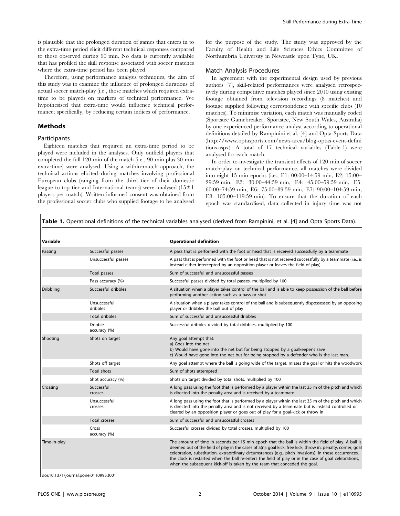is plausible that the prolonged duration of games that enters in to the extra-time period elicit different technical responses compared to those observed during 90 min. No data is currently available that has profiled the skill response associated with soccer matches where the extra-time period has been played.

Therefore, using performance analysis techniques, the aim of this study was to examine the influence of prolonged durations of actual soccer match-play (i.e., those matches which required extratime to be played) on markers of technical performance. We hypothesised that extra-time would influence technical performance; specifically, by reducing certain indices of performance.

#### Methods

## Participants

Eighteen matches that required an extra-time period to be played were included in the analyses. Only outfield players that completed the full 120 min of the match (i.e., 90 min plus 30 min extra-time) were analysed. Using a within-match approach, the technical actions elicited during matches involving professional European clubs (ranging from the third tier of their domestic league to top tier and International teams) were analysed  $(15\pm1)$ players per match). Written informed consent was obtained from the professional soccer clubs who supplied footage to be analysed for the purpose of the study. The study was approved by the Faculty of Health and Life Sciences Ethics Committee of Northumbria University in Newcastle upon Tyne, UK.

#### Match Analysis Procedures

In agreement with the experimental design used by previous authors [7], skill-related performances were analysed retrospectively during competitive matches played since 2010 using existing footage obtained from television recordings (8 matches) and footage supplied following correspondence with specific clubs (10 matches). To minimise variation, each match was manually coded (Sportstec Gamebreaker, Sportstec, New South Wales, Australia) by one experienced performance analyst according to operational definitions detailed by Rampinini et al. [4] and Opta Sports Data [\(http://www.optasports.com/news-area/blog-optas-event-defini](http://www.optasports.com/news-area/blog-optas-event-definitions.aspx) [tions.aspx\)](http://www.optasports.com/news-area/blog-optas-event-definitions.aspx). A total of 17 technical variables (Table 1) were analysed for each match.

In order to investigate the transient effects of 120 min of soccer match-play on technical performance, all matches were divided into eight 15 min epochs (i.e., E1: 00:00–14:59 min, E2: 15:00– 29:59 min, E3: 30:00–44:59 min, E4: 45:00–59:59 min, E5: 60:00–74:59 min, E6: 75:00–89:59 min, E7: 90:00–104:59 min, E8: 105:00–119:59 min). To ensure that the duration of each epoch was standardised, data collected in injury time was not

Table 1. Operational definitions of the technical variables analysed (derived from Rampinini, et al. [4] and Opta Sports Data).

| Variable         |                                | <b>Operational definition</b>                                                                                                                                                                                                                                                                                                                                                                                                                                                                                     |
|------------------|--------------------------------|-------------------------------------------------------------------------------------------------------------------------------------------------------------------------------------------------------------------------------------------------------------------------------------------------------------------------------------------------------------------------------------------------------------------------------------------------------------------------------------------------------------------|
| Passing          | Successful passes              | A pass that is performed with the foot or head that is received successfully by a teammate                                                                                                                                                                                                                                                                                                                                                                                                                        |
|                  | Unsuccessful passes            | A pass that is performed with the foot or head that is not received successfully by a teammate (i.e., is<br>instead either intercepted by an opposition player or leaves the field of play)                                                                                                                                                                                                                                                                                                                       |
|                  | Total passes                   | Sum of successful and unsuccessful passes                                                                                                                                                                                                                                                                                                                                                                                                                                                                         |
|                  | Pass accuracy (%)              | Successful passes divided by total passes, multiplied by 100                                                                                                                                                                                                                                                                                                                                                                                                                                                      |
| <b>Dribbling</b> | Successful dribbles            | A situation when a player takes control of the ball and is able to keep possession of the ball before<br>performing another action such as a pass or shot                                                                                                                                                                                                                                                                                                                                                         |
|                  | Unsuccessful<br>dribbles       | A situation when a player takes control of the ball and is subsequently dispossessed by an opposing<br>player or dribbles the ball out of play                                                                                                                                                                                                                                                                                                                                                                    |
|                  | <b>Total dribbles</b>          | Sum of successful and unsuccessful dribbles                                                                                                                                                                                                                                                                                                                                                                                                                                                                       |
|                  | <b>Dribble</b><br>accuracy (%) | Successful dribbles divided by total dribbles, multiplied by 100                                                                                                                                                                                                                                                                                                                                                                                                                                                  |
| Shooting         | Shots on target                | Any goal attempt that:<br>a) Goes into the net<br>b) Would have gone into the net but for being stopped by a goalkeeper's save<br>c) Would have gone into the net but for being stopped by a defender who is the last man.                                                                                                                                                                                                                                                                                        |
|                  | Shots off target               | Any goal attempt where the ball is going wide of the target, misses the goal or hits the woodwork                                                                                                                                                                                                                                                                                                                                                                                                                 |
|                  | <b>Total shots</b>             | Sum of shots attempted                                                                                                                                                                                                                                                                                                                                                                                                                                                                                            |
|                  | Shot accuracy (%)              | Shots on target divided by total shots, multiplied by 100                                                                                                                                                                                                                                                                                                                                                                                                                                                         |
| Crossing         | Successful<br>crosses          | A long pass using the foot that is performed by a player within the last 35 m of the pitch and which<br>is directed into the penalty area and is received by a teammate                                                                                                                                                                                                                                                                                                                                           |
|                  | Unsuccessful<br>crosses        | A long pass using the foot that is performed by a player within the last 35 m of the pitch and which<br>is directed into the penalty area and is not received by a teammate but is instead controlled or<br>cleared by an opposition player or goes out of play for a goal-kick or throw in                                                                                                                                                                                                                       |
|                  | <b>Total crosses</b>           | Sum of successful and unsuccessful crosses                                                                                                                                                                                                                                                                                                                                                                                                                                                                        |
|                  | Cross<br>accuracy (%)          | Successful crosses divided by total crosses, multiplied by 100                                                                                                                                                                                                                                                                                                                                                                                                                                                    |
| Time-in-play     |                                | The amount of time in seconds per 15 min epoch that the ball is within the field of play. A ball is<br>deemed out of the field of play in the cases of a(n): goal kick, free kick, throw in, penalty, corner, goal<br>celebration, substitution, extraordinary circumstances (e.g., pitch invasions). In these occurrences,<br>the clock is restarted when the ball re-enters the field of play or in the case of goal celebrations,<br>when the subsequent kick-off is taken by the team that conceded the goal. |

doi:10.1371/journal.pone.0110995.t001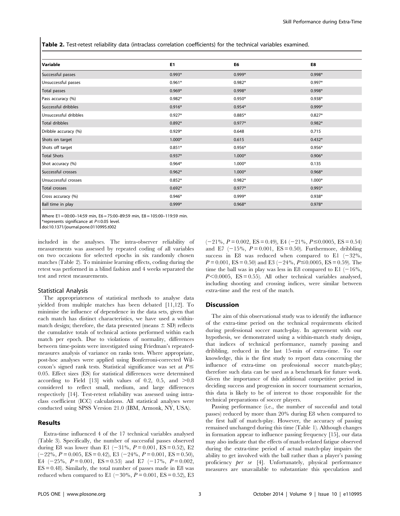Table 2. Test-retest reliability data (intraclass correlation coefficients) for the technical variables examined.

| Variable              | E <sub>1</sub> | E6       | E8       |
|-----------------------|----------------|----------|----------|
| Successful passes     | $0.993*$       | $0.999*$ | $0.998*$ |
| Unsuccessful passes   | $0.961*$       | $0.982*$ | $0.997*$ |
| Total passes          | $0.969*$       | $0.998*$ | $0.998*$ |
| Pass accuracy (%)     | $0.982*$       | $0.950*$ | $0.938*$ |
| Successful dribbles   | $0.916*$       | $0.954*$ | $0.999*$ |
| Unsuccessful dribbles | $0.927*$       | $0.885*$ | $0.827*$ |
| Total dribbles        | $0.892*$       | $0.977*$ | $0.982*$ |
| Dribble accuracy (%)  | $0.929*$       | 0.648    | 0.715    |
| Shots on target       | $1.000*$       | 0.615    | $0.432*$ |
| Shots off target      | $0.851*$       | $0.956*$ | $0.956*$ |
| <b>Total Shots</b>    | $0.937*$       | $1.000*$ | $0.906*$ |
| Shot accuracy (%)     | $0.964*$       | $1.000*$ | 0.135    |
| Successful crosses    | $0.962*$       | $1.000*$ | $0.968*$ |
| Unsuccessful crosses  | $0.852*$       | $0.982*$ | $1.000*$ |
| Total crosses         | $0.692*$       | $0.977*$ | $0.993*$ |
| Cross accuracy (%)    | $0.946*$       | $0.999*$ | $0.938*$ |
| Ball time in play     | $0.999*$       | $0.968*$ | $0.978*$ |

Where E1 = 00:00–14:59 min, E6 = 75:00–89:59 min, E8 = 105:00–119:59 min.

\*represents significance at  $P \le 0.05$  level.

doi:10.1371/journal.pone.0110995.t002

included in the analyses. The intra-observer reliability of measurements was assessed by repeated coding of all variables on two occasions for selected epochs in six randomly chosen matches (Table 2). To minimise learning effects, coding during the retest was performed in a blind fashion and 4 weeks separated the test and retest measurements.

#### Statistical Analysis

The appropriateness of statistical methods to analyse data yielded from multiple matches has been debated [11,12]. To minimise the influence of dependence in the data sets, given that each match has distinct characteristics, we have used a withinmatch design; therefore, the data presented (means  $\pm$  SD) reflects the cumulative totals of technical actions performed within each match per epoch. Due to violations of normality, differences between time-points were investigated using Friedman's repeatedmeasures analysis of variance on ranks tests. Where appropriate, post-hoc analyses were applied using Bonferroni-corrected Wilcoxon's signed rank tests. Statistical significance was set at  $P \leq$ 0.05. Effect sizes (ES) for statistical differences were determined according to Field [13] with values of 0.2, 0.5, and  $>0.8$ considered to reflect small, medium, and large differences respectively [14]. Test-retest reliability was assessed using intraclass coefficient (ICC) calculations. All statistical analyses were conducted using SPSS Version 21.0 (IBM, Armonk, NY, USA).

## Results

Extra-time influenced 4 of the 17 technical variables analysed (Table 3). Specifically, the number of successful passes observed during E8 was lower than E1  $(-31\%, P= 0.001, ES = 0.52), E2$  $(-22\%, P = 0.005, ES = 0.42), E3 (-24\%, P = 0.001, ES = 0.50),$ E4  $(-25\%, P= 0.001, ES= 0.53)$  and E7  $(-17\%, P= 0.002,$  $ES = 0.48$ ). Similarly, the total number of passes made in E8 was reduced when compared to E1  $(-30\%, P= 0.001, ES = 0.52), E3$ 

 $(-21\%, P= 0.002, ES = 0.49), EA (-21\%, P \le 0.0005, ES = 0.54)$ and E7  $(-15\%, P= 0.001, ES= 0.50)$ . Furthermore, dribbling success in E8 was reduced when compared to E1  $(-32\%,$  $P = 0.001$ , ES = 0.50) and E3 (-24%,  $P \le 0.0005$ , ES = 0.59). The time the ball was in play was less in E8 compared to E1  $(-16\%,$  $P<0.0005$ , ES = 0.55). All other technical variables analysed, including shooting and crossing indices, were similar between extra-time and the rest of the match.

#### **Discussion**

The aim of this observational study was to identify the influence of the extra-time period on the technical requirements elicited during professional soccer match-play. In agreement with our hypothesis, we demonstrated using a within-match study design, that indices of technical performance, namely passing and dribbling, reduced in the last 15-min of extra-time. To our knowledge, this is the first study to report data concerning the influence of extra-time on professional soccer match-play; therefore such data can be used as a benchmark for future work. Given the importance of this additional competitive period in deciding success and progression in soccer tournament scenarios, this data is likely to be of interest to those responsible for the technical preparations of soccer players.

Passing performance (i.e., the number of successful and total passes) reduced by more than 20% during E8 when compared to the first half of match-play. However, the accuracy of passing remained unchanged during this time (Table 1). Although changes in formation appear to influence passing frequency [15], our data may also indicate that the effects of match-related fatigue observed during the extra-time period of actual match-play impairs the ability to get involved with the ball rather than a player's passing proficiency per se [4]. Unfortunately, physical performance measures are unavailable to substantiate this speculation and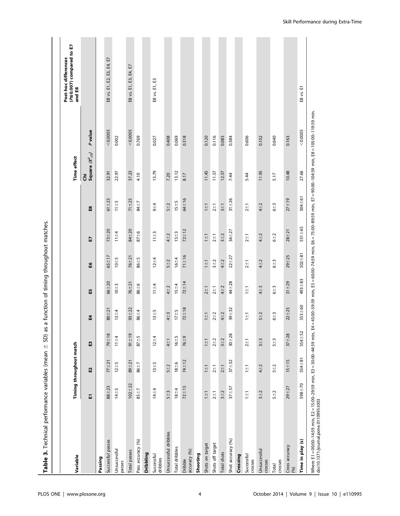| Variable                                                                                                         |                  | Timing throughout match       |              |                |                |             |              |               | Time effect                                    |                                                                                                                  | (P≤0.007) compared to E7<br>Post-hoc differences<br>and E8 |
|------------------------------------------------------------------------------------------------------------------|------------------|-------------------------------|--------------|----------------|----------------|-------------|--------------|---------------|------------------------------------------------|------------------------------------------------------------------------------------------------------------------|------------------------------------------------------------|
|                                                                                                                  | 品                | E2                            | E3           | E4             | E5             | E6          | F)           | $\mathbf{a}$  | Square $(\mathcal{K}_{\langle 7\rangle})$<br>ξ | P value                                                                                                          |                                                            |
| Passing                                                                                                          |                  |                               |              |                |                |             |              |               |                                                |                                                                                                                  |                                                            |
| Successful passes                                                                                                | $88 + 23$        | $77 + 21$                     | $79 + 18$    | $80 + 21$      | $66 + 20$      | $65 + 17$   | $73 + 20$    | $61 + 23$     | 32.91                                          | < 0.0005                                                                                                         | E8 vs. E1, E2, E3, E4, E7                                  |
| Unsuccessful<br>passes                                                                                           | $14 + 5$         | $12 + 5$                      | $11 + 4$     | $13 + 4$       | $10 + 3$       | $10 + 5$    | $11 + 4$     | $11 + 5$      | 22.97                                          | 0.002                                                                                                            |                                                            |
| Total passes                                                                                                     | $102 + 22$       | $89 + 21$                     | $91 + 19$    | $93 + 22$      | $76 + 21$      | $76 + 21$   | $84 + 20$    | $71 + 25$     | 37.23                                          | < 0.0005                                                                                                         | E8 vs. E1, E3, E4, E7                                      |
| Pass accuracy (%)                                                                                                | $85 + 7$         | $86 + 7$                      | $87 + 5$     | $86 + 4$       | $86 + 6$       | $86 + 5$    | $87 + 6$     | 84±7          | 4.10                                           | 0.769                                                                                                            |                                                            |
| <b>Dribbling</b>                                                                                                 |                  |                               |              |                |                |             |              |               |                                                |                                                                                                                  |                                                            |
| Successful<br>dribbles                                                                                           | $14 + 4$         | $13 + 5$                      | $12 + 4$     | $13 + 5$       | $11 + 4$       | $12 + 4$    | $11 + 3$     | $9 + 4$       | 15.79                                          | 0.027                                                                                                            | E8 vs. E1, E3                                              |
| Unsuccessful dribbles                                                                                            | $5 + 3$          | $5 + 2$                       | $4\pm1$      | $4\pm3$        | $4\pm2$        | $5 + 2$     | $4 + 2$      | $5 + 2$       | 7.20                                           | 0.408                                                                                                            |                                                            |
| Total dribbles                                                                                                   | $18 + 4$         | $18 + 6$                      | $16 + 5$     | $17 + 5$       | $15 + 4$       | $16 + 4$    | $15 + 3$     | $15 + 5$      | 13.12                                          | 0.069                                                                                                            |                                                            |
| accuracy (%)<br>Dribble                                                                                          | $72 + 15$        | $74 + 12$                     | $76 + 9$     | $72 + 18$      | $72 + 14$      | $71 \pm 16$ | $72 + 12$    | $64 + 16$     | 8.17                                           | 0.318                                                                                                            |                                                            |
| Shooting                                                                                                         |                  |                               |              |                |                |             |              |               |                                                |                                                                                                                  |                                                            |
| Shots on target                                                                                                  | $\overline{1+1}$ | $\overline{1}$ $\overline{1}$ | $1 + 1$      | $1 \pm 1$      | $2 + 1$        | $1 \pm 1$   | $1 \pm 1$    | $\frac{1}{1}$ | 11.45                                          | 0.120                                                                                                            |                                                            |
| Shots off target                                                                                                 | $2\pm1$          | $2+1$                         | $2 + 2$      | $2 + 2$        | $2+1$          | $3 + 2$     | $2+1$        | $2+1$         | 11.57                                          | 0.116                                                                                                            |                                                            |
| Total shots                                                                                                      | $3 + 2$          | $2\pm1$                       | $3 + 2$      | $4 + 2$        | $4 + 2$        | $4 + 2$     | $3 + 2$      | $3+1$         | 12.57                                          | 0.083                                                                                                            |                                                            |
| Shot accuracy (%)                                                                                                | $37 + 37$        | $37 + 32$                     | $30 - 28$    | $39 + 32$      | 44±28          | $22 + 27$   | $36 + 27$    | $31 + 26$     | 7.44                                           | 0.384                                                                                                            |                                                            |
| Crossing                                                                                                         |                  |                               |              |                |                |             |              |               |                                                |                                                                                                                  |                                                            |
| Successful<br>crosses                                                                                            | $\frac{1}{1+1}$  | $\frac{1}{1}$                 | $2+1$        | $\frac{1}{11}$ | $\frac{1}{11}$ | $2+1$       | $2+1$        | $2+1$         | 5.44                                           | 0.606                                                                                                            |                                                            |
| Unsuccessful<br>crosses                                                                                          | $3 + 2$          | $4 + 2$                       | $3 + 3$      | $5 + 2$        | $4\pm3$        | $4 + 2$     | $4 + 2$      | $4 + 2$       | 11.95                                          | 0.102                                                                                                            |                                                            |
| crosses<br>Total                                                                                                 | $5 + 2$          | $5 + 2$                       | $5 + 3$      | $6 + 3$        | $6 + 3$        | $6 + 3$     | $6 + 2$      | $6 + 3$       | 5.17                                           | 0.640                                                                                                            |                                                            |
| Cross accuracy<br>(96)                                                                                           | $29 + 27$        | $15 + 15$                     | $37 + 28$    | $22 + 25$      | $31 + 29$      | $29 - 25$   | $28 + 21$    | $27 + 19$     | 10.48                                          | 0.163                                                                                                            |                                                            |
| Time in play (s)                                                                                                 | $598 + 70$       | $554 + 81$                    | $554 \pm 52$ | $553 + 60$     | $493 + 83$     | $502 + 81$  | $551 \pm 65$ | $504 \pm 61$  | 27.66                                          | < 0.0005                                                                                                         | E8 vs. E1                                                  |
| Where E1 = 00:00-14:59 min, E2 = 15:00-29:59 min, E3 = 30:00-44:59 min,<br>doi:10.1371/journal.pone.0110995.t003 |                  |                               |              |                |                |             |              |               |                                                | E4 = 45:00-59:59 min, E5 = 60:00-74:59 min, E6 = 75:00-89:59 min, E7 = 90:00-104:59 min, E8 = 105:00-119:59 min. |                                                            |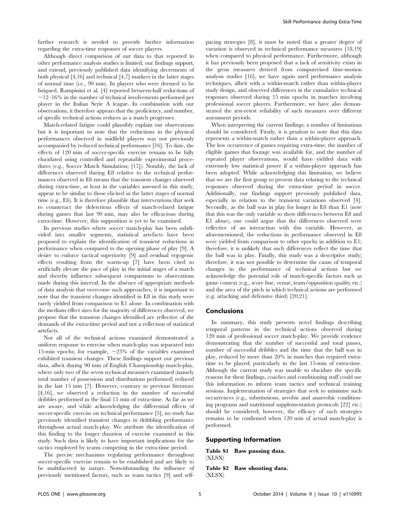further research is needed to provide further information regarding the extra-time responses of soccer players.

Although direct comparison of our data to that reported in other performance analysis studies is limited, our findings support, and extend, previously published data identifying decrements of both physical [4,16] and technical [4,7] markers in the latter stages of normal time (i.e., 90 min). In players who were deemed to be fatigued, Rampinini et al. [4] reported between-half reductions of  $\sim$ 12–16% in the number of technical involvements performed per player in the Italian Serie A league. In combination with our observations, it therefore appears that the proficiency, and number, of specific technical actions reduces as a match progresses.

Match-related fatigue could plausibly explain our observations but it is important to note that the reductions in the physical performances observed in midfield players was not previously accompanied by reduced technical performance [16]. To date, the effects of 120 min of soccer-specific exercise remain to be fully elucidated using controlled and repeatable experimental procedures (e.g., Soccer Match Simulation; [17]). Notably, the lack of differences observed during E8 relative to the technical performances observed in E6 means that the transient changes observed during extra-time, at least in the variables assessed in this study, appear to be similar to those elicited in the latter stages of normal time (e.g., E6). It is therefore plausible that interventions that seek to counteract the deleterious effects of match-related fatigue during games that last 90 min, may also be efficacious during extra-time. However, this supposition is yet to be examined.

In previous studies where soccer match-play has been subdivided into smaller segments, statistical artefacts have been proposed to explain the identification of transient reductions in performance when compared to the opening phase of play [9]. A desire to enforce tactical superiority [9] and residual ergogenic effects resulting from the warm-up [7] have been cited to artificially elevate the pace of play in the initial stages of a match and thereby influence subsequent comparisons to observations made during this interval. In the absence of appropriate methods of data analysis that overcome such approaches, it is important to note that the transient changes identified in E8 in this study were rarely yielded from comparison to E1 alone. In combination with the medium effect sizes for the majority of differences observed, we propose that the transient changes identified are reflective of the demands of the extra-time period and not a reflection of statistical artefacts.

Not all of the technical actions examined demonstrated a uniform response to exercise when match-play was separated into 15-min epochs; for example,  $\sim$ 23% of the variables examined exhibited transient changes. These findings support our previous data, albeit during 90 min of English Championship match-play, where only two of the seven technical measures examined (namely total number of possessions and distributions performed) reduced in the last 15 min [7]. However, contrary to previous literature [4,16], we observed a reduction in the number of successful dribbles performed in the final 15 min of extra-time. As far as we are aware, and while acknowledging the differential effects of soccer-specific exercise on technical performance [5], no study has previously identified transient changes in dribbling performance throughout actual match-play. We attribute the identification of this finding to the longer duration of exercise examined in this study. Such data is likely to have important implications for the tactics employed by teams competing in the extra-time period.

The precise mechanisms regulating performance throughout soccer-specific exercise remain to be established and are likely to be multifaceted in nature. Notwithstanding the influence of previously mentioned factors, such as team tactics [9] and selfpacing strategies [8], it must be noted that a greater degree of variation is observed in technical performance measures [18,19] when compared to physical performance. Furthermore, although it has previously been proposed that a lack of sensitivity exists in the gross measures derived from computerised time-motion analysis studies [16], we have again used performance analysis techniques, albeit with a within-match rather than within-player study design, and observed differences in the cumulative technical responses observed during 15 min epochs in matches involving professional soccer players. Furthermore, we have also demonstrated the test-retest reliability of such measures over different assessment periods.

When interpreting the current findings, a number of limitations should be considered. Firstly, it is prudent to note that this data represents a within-match rather than a within-player approach. The low occurrence of games requiring extra-time, the number of eligible games that footage was available for, and the number of repeated player observations, would have yielded data with extremely low statistical power if a within-player approach has been adopted. While acknowledging this limitation, we believe that we are the first group to present data relating to the technical responses observed during the extra-time period in soccer. Additionally, our findings support previously published data, especially in relation to the transient variations observed [4]. Secondly, as the ball was in play for longer in E8 than E1 (note that this was the only variable to show differences between E8 and E1 alone), one could argue that the differences observed were reflective of an interaction with this variable. However, as aforementioned, the reductions in performance observed in E8 were yielded from comparison to other epochs in addition to E1; therefore, it is unlikely that such differences reflect the time that the ball was in play. Finally, this study was a descriptive study; therefore, it was not possible to determine the cause of temporal changes in the performance of technical actions but we acknowledge the potential role of match-specific factors such as game context (e.g., score line, venue, team/opposition quality etc.) and the area of the pitch in which technical actions are performed (e.g. attacking and defensive third) [20,21].

#### Conclusions

In summary, this study presents novel findings describing temporal patterns in the technical actions observed during 120 min of professional soccer match-play. We provide evidence demonstrating that the number of successful and total passes, number of successful dribbles and the time that the ball was in play, reduced by more than 20% in matches that required extratime to be played; particularly in the last 15-min of extra-time. Although the current study was unable to elucidate the specific reasons for these findings, coaches and conditioning staff could use this information to inform team tactics and technical training sessions. Implementation of strategies that seek to minimise such occurrences (e.g., substitutions, aerobic and anaerobic conditioning programs and nutritional supplementation protocols [22] etc.) should be considered; however, the efficacy of such strategies remains to be confirmed when 120 min of actual match-play is performed.

## Supporting Information

Table S1 Raw passing data. (XLSX)

## Table S2 Raw shooting data. (XLSX)